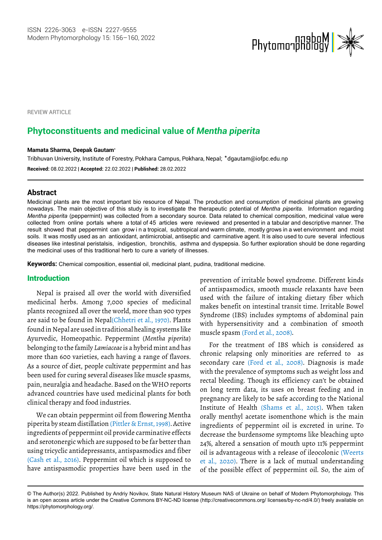

**REVIEW ARTICLE** 

# **Phytoconstituents and medicinal value of** *Mentha piperita*

#### **Mamata Sharma, Deepak Gautam\***

**Received:** 08.02.2022 | **Accepted:** 22.02.2022 | **Published:** 28.02.2022 Tribhuvan University, Institute of Forestry, Pokhara Campus, Pokhara, Nepal; \*[dgautam@iofpc.edu.np](mailto:dgautam@iofpc.edu.np)

## **Abstract**

Medicinal plants are the most important bio resource of Nepal. The production and consumption of medicinal plants are growing nowadays. The main objective of this study is to investigate the therapeutic potential of *Mentha piperita*. Information regarding *Mentha piperita* (peppermint) was collected from a secondary source. Data related to chemical composition, medicinal value were collected from online portals where a total of 45 articles were reviewed and presented in a tabular and descriptive manner. The result showed that peppermint can grow in a tropical, subtropical and warm climate, mostly grows in a wet environment and moist soils. It was mostly used as an antioxidant, antimicrobial, antiseptic and carminative agent. It is also used to cure several infectious diseases like intestinal peristalsis, indigestion, bronchitis, asthma and dyspepsia. So further exploration should be done regarding the medicinal uses of this traditional herb to cure a variety of illnesses.

**Keywords:** Chemical composition, essential oil, medicinal plant, pudina, traditional medicine.

## Introduction

Nepal is praised all over the world with diversified medicinal herbs. Among 7,000 species of medicinal plants recognized all over the world, more than 900 types are said to be found in Nepal(Chhetri et al., 1970). Plants found in Nepal are used in traditional healing systems like Ayurvedic, Homeopathic. Peppermint (*Mentha piperita*) belonging to the family *Lamiaceae* is a hybrid mint and has more than 600 varieties, each having a range of flavors. As a source of diet, people cultivate peppermint and has been used for curing several diseases like muscle spasms, pain, neuralgia and headache. Based on the WHO reports advanced countries have used medicinal plants for both clinical therapy and food industries.

We can obtain peppermint oil from flowering Mentha piperita by steam distillation (Pittler & Ernst, 1998). Active ingredients of peppermint oil provide carminative effects and serotonergic which are supposed to be far better than using tricyclic antidepressants, antispasmodics and fiber (Cash et al., 2016). Peppermint oil which is supposed to have antispasmodic properties have been used in the

prevention of irritable bowel syndrome. Different kinds of antispasmodics, smooth muscle relaxants have been used with the failure of intaking dietary fiber which makes benefit on intestinal transit time. Irritable Bowel Syndrome (IBS) includes symptoms of abdominal pain with hypersensitivity and a combination of smooth muscle spasm (Ford et al., 2008).

For the treatment of IBS which is considered as chronic relapsing only minorities are referred to as secondary care (Ford et al., 2008). Diagnosis is made with the prevalence of symptoms such as weight loss and rectal bleeding. Though its efficiency can't be obtained on long term data, its uses on breast feeding and in pregnancy are likely to be safe according to the National Institute of Health (Shams et al., 2015). When taken orally menthyl acetate isomenthone which is the main ingredients of peppermint oil is excreted in urine. To decrease the burdensome symptoms like bleaching upto 24%, altered a sensation of mouth upto 11% peppermint oil is advantageous with a release of ileocolonic (Weerts et al., 2020). There is a lack of mutual understanding of the possible effect of peppermint oil. So, the aim of

<sup>©</sup> The Author(s) 2022. Published by Andriy Novikov, State Natural History Museum NAS of Ukraine on behalf of Modern Phytomorphology. This is an open access article under the Creative Commons BY-NC-ND license (http://creativecommons.org/ licenses/by-nc-nd/4.0/) freely available on https://phytomorphology.org/.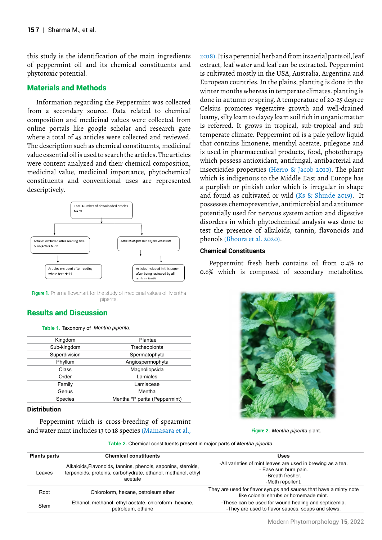this study is the identification of the main ingredients of peppermint oil and its chemical constituents and phytotoxic potential.

## Materials and Methods

Information regarding the Peppermint was collected from a secondary source. Data related to chemical composition and medicinal values were collected from online portals like google scholar and research gate where a total of 45 articles were collected and reviewed. The description such as chemical constituents, medicinal value essential oil is used to search the articles. The articles were content analyzed and their chemical composition, medicinal value, medicinal importance, phytochemical constituents and conventional uses are represented descriptively.



**Figure 1.** Prisma flowchart for the study of medicinal values of Mentha piperita.

## Results and Discussion

#### **Table 1.** Taxonomy of  *Mentha piperita.*

| Kingdom       | Plantae                       |
|---------------|-------------------------------|
| Sub-kingdom   | Tracheobionta                 |
| Superdivision | Spermatophyta                 |
| Phyllum       | Angiospermophyta              |
| Class         | Magnoliopsida                 |
| Order         | Lamiales                      |
| Family        | Lamiaceae                     |
| Genus         | Mentha                        |
| Species       | Mentha *Piperita (Peppermint) |
|               |                               |

#### **Distribution**

 Peppermint which is cross-breeding of spearmint and water mint includes 13 to 18 species (Mainasara et al., 2018). It is a perennial herb and from its aerial parts oil, leaf extract, leaf water and leaf can be extracted. Peppermint is cultivated mostly in the USA, Australia, Argentina and European countries. In the plains, planting is done in the winter months whereas in temperate climates. planting is done in autumn or spring. A temperature of 20-25 degree Celsius promotes vegetative growth and well-drained loamy, silty loam to clayey loam soil rich in organic matter is referred. It grows in tropical, sub-tropical and sub temperate climate. Peppermint oil is a pale yellow liquid that contains limonene, menthyl acetate, pulegone and is used in pharmaceutical products, food, phototherapy which possess antioxidant, antifungal, antibacterial and insecticides properties (Herro & Jacob 2010). The plant which is indigenous to the Middle East and Europe has a purplish or pinkish color which is irregular in shape and found as cultivated or wild (Ks & Shinde 2019). It possesses chemopreventive, antimicrobial and antitumor potentially used for nervous system action and digestive disorders in which phytochemical analysis was done to test the presence of alkaloids, tannin, flavonoids and phenols (Bhoora et al. 2020).

## **Chemical Constituents**

Peppermint fresh herb contains oil from 0.4% to 0.6% which is composed of secondary metabolites.



*Mentha piperita* plant. **Figure 2.**

**Table 2.** Chemical constituents present in major parts of *Mentha piperita.*

| <b>Plants parts</b> | <b>Chemical constituents</b>                                                                                                            | <b>Uses</b>                                                                                                                 |
|---------------------|-----------------------------------------------------------------------------------------------------------------------------------------|-----------------------------------------------------------------------------------------------------------------------------|
| Leaves              | Alkaloids, Flavonoids, tannins, phenols, saponins, steroids,<br>terpenoids, proteins, carbohydrate, ethanol, methanol, ethyl<br>acetate | -All varieties of mint leaves are used in brewing as a tea.<br>- Ease sun burn pain.<br>-Breath fresher<br>-Moth repellent. |
| Root                | Chloroform, hexane, petroleum ether                                                                                                     | They are used for flavor syrups and sauces that have a minty note<br>like colonial shrubs or homemade mint.                 |
| Stem                | Ethanol, methanol, ethyl acetate, chloroform, hexane,<br>petroleum, ethane                                                              | -These can be used for wound healing and septicemia.<br>-They are used to flavor sauces, soups and stews.                   |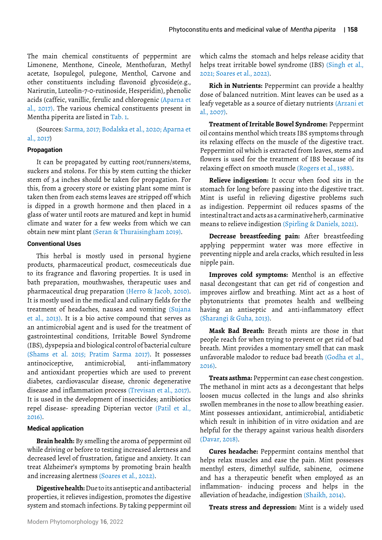The main chemical constituents of peppermint are Limonene, Menthone, Cineole, Menthofuran, Methyl acetate, Isopulegol, pulegone, Menthol, Carvone and other constituents including flavonoid glycoside(e.g., Narirutin, Luteolin-7-0-rutinoside, Hesperidin), phenolic acids (caffeic, vanillic, ferulic and chlorogenic (Aparna et al., 2017). The various chemical constituents present in Mentha piperita are listed in Tab. 1.

(Sources: Sarma, 2017; Bodalska et al., 2020; Aparna et al., 2017)

#### **Propagation**

It can be propagated by cutting root/runners/stems, suckers and stolons. For this by stem cutting the thicker stem of 3.4 inches should be taken for propagation. For this, from a grocery store or existing plant some mint is taken then from each stems leaves are stripped off which is dipped in a growth hormone and then placed in a glass of water until roots are matured and kept in humid climate and water for a few weeks from which we can obtain new mint plant (Seran & Thuraisingham 2019).

## **Conventional Uses**

This herbal is mostly used in personal hygiene products, pharmaceutical product, cosmeceuticals due to its fragrance and flavoring properties. It is used in bath preparation, mouthwashes, therapeutic uses and pharmaceutical drug preparation (Herro & Jacob, 2010). It is mostly used in the medical and culinary fields for the treatment of headaches, nausea and vomiting (Sujana et al., 2013). It is a bio active compound that serves as an antimicrobial agent and is used for the treatment of gastrointestinal conditions, Irritable Bowel Syndrome (IBS), dyspepsia and biological control of bacterial culture (Shams et al. 2015; Pratim Sarma 2017). It possesses antinociceptive, antimicrobial, anti-inflammatory and antioxidant properties which are used to prevent diabetes, cardiovascular disease, chronic degenerative disease and inflammation process (Trevisan et al., 2017). It is used in the development of insecticides; antibiotics repel disease- spreading Dipterian vector (Patil et al., 2016).

#### **Medical application**

**Brain health:** By smelling the aroma of peppermint oil while driving or before to testing increased alertness and decreased level of frustration, fatigue and anxiety. It can treat Alzheimer's symptoms by promoting brain health and increasing alertness (Soares et al., 2022).

**Digestive health:** Due to its antiseptic and antibacterial properties, it relieves indigestion, promotes the digestive system and stomach infections. By taking peppermint oil

which calms the stomach and helps release acidity that helps treat irritable bowel syndrome (IBS) (Singh et al., 2021; Soares et al., 2022).

**Rich in Nutrients:** Peppermint can provide a healthy dose of balanced nutrition. Mint leaves can be used as a leafy vegetable as a source of dietary nutrients (Arzani et al., 2007).

**Treatment of Irritable Bowel Syndrome:** Peppermint oil contains menthol which treats IBS symptoms through its relaxing effects on the muscle of the digestive tract. Peppermint oil which is extracted from leaves, stems and flowers is used for the treatment of IBS because of its relaxing effect on smooth muscle (Rogers et al., 1988).

**Relieve indigestion:** It occur when food sits in the stomach for long before passing into the digestive tract. Mint is useful in relieving digestive problems such as indigestion. Peppermint oil reduces spasms of the intestinal tract and acts as a carminative herb, carminative means to relieve indigestion (Spirling & Daniels, 2021).

**Decrease breastfeeding pain:** After breastfeeding applying peppermint water was more effective in preventing nipple and arela cracks, which resulted in less nipple pain.

**Improves cold symptoms:** Menthol is an effective nasal decongestant that can get rid of congestion and improves airflow and breathing. Mint act as a host of phytonutrients that promotes health and wellbeing having an antiseptic and anti-inflammatory effect (Sharangi & Guha, 2013).

**Mask Bad Breath:** Breath mints are those in that people reach for when trying to prevent or get rid of bad breath. Mint provides a momentary smell that can mask unfavorable malodor to reduce bad breath (Godha et al., 2016).

**Treats asthma:** Peppermint can ease chest congestion. The methanol in mint acts as a decongestant that helps loosen mucus collected in the lungs and also shrinks swollen membranes in the nose to allow breathing easier. Mint possesses antioxidant, antimicrobial, antidiabetic which result in inhibition of in vitro oxidation and are helpful for the therapy against various health disorders (Davar, 2018).

**Cures headache:** Peppermint contains menthol that helps relax muscles and ease the pain. Mint possesses menthyl esters, dimethyl sulfide, sabinene, ocimene and has a therapeutic benefit when employed as an inflammation- inducing process and helps in the alleviation of headache, indigestion (Shaikh, 2014).

**Treats stress and depression:** Mint is a widely used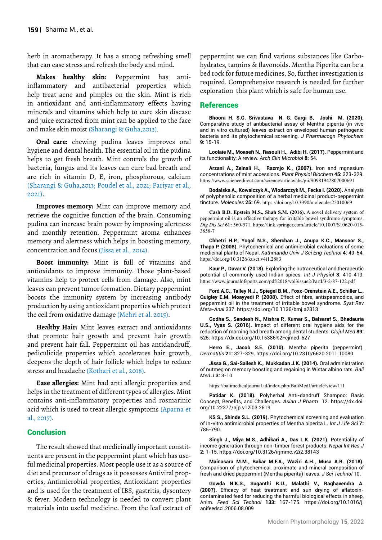herb in aromatherapy. It has a strong refreshing smell that can ease stress and refresh the body and mind.

**Makes healthy skin:** Peppermint has antiinflammatory and antibacterial properties which help treat acne and pimples on the skin. Mint is rich in antioxidant and anti-inflammatory effects having minerals and vitamins which help to cure skin disease and juice extracted from mint can be applied to the face and make skin moist (Sharangi & Guha,2013).

**Oral care:** chewing pudina leaves improves oral hygiene and dental health. The essential oil in the pudina helps to get fresh breath. Mint controls the growth of bacteria, fungus and its leaves can cure bad breath and are rich in vitamin D, E, iron, phosphorous, calcium (Sharangi & Guha,2013; Poudel et al., 2021; Pariyar et al., 2021).

**Improves memory:** Mint can improve memory and retrieve the cognitive function of the brain. Consuming pudina can increase brain power by improving alertness and monthly retention. Peppermint aroma enhances memory and alertness which helps in boosting memory, concentration and focus (Jissa et al., 2014).

**Boost immunity:** Mint is full of vitamins and antioxidants to improve immunity. Those plant-based vitamins help to protect cells from damage. Also, mint leaves can prevent tumor formation. Dietary peppermint boosts the immunity system by increasing antibody production by using antioxidant properties which protect the cell from oxidative damage (Mehri et al. 2015).

**Healthy Hair:** Mint leaves extract and antioxidants that promote hair growth and prevent hair growth and prevent hair fall. Peppermint oil has antidandruff, pediculicide properties which accelerates hair growth, deepens the depth of hair follicle which helps to reduce stress and headache (Kothari et al., 2018).

**Ease allergies:** Mint had anti allergic properties and helps in the treatment of different types of allergies. Mint contains anti-inflammatory properties and rosmarinic acid which is used to treat allergic symptoms (Aparna et al., 2017).

## **Conclusion**

The result showed that medicinally important constituents are present in the peppermint plant which has useful medicinal properties. Most people use it as a source of diet and precursor of drugs as it possesses Antiviral properties, Antimicrobial properties, Antioxidant properties and is used for the treatment of IBS, gastritis, dysentery & fever. Modern technology is needed to convert plant materials into useful medicine. From the leaf extract of

peppermint we can find various substances like Carbohydrates, tannins & flavonoids. Mentha Piperita can be a bed rock for future medicines. So, further investigation is required. Comprehensive research is needed for further exploration this plant which is safe for human use.

## References

**Bhoora H. S.G. Srivastava N. G. Gargi B, Joshi M. (2020).**  Comparative study of antibacterial assay of Mentha piperita (in vivo and in vitro cultured) leaves extract on enveloped human pathogenic bacteria and its phytochemical screening*. J Pharmacogn Phytochem*  **9:** 15-19.

**Loolaie M., Moasefi N., Rasouli H., Adibi H. (2017).** Peppermint and its functionality: A review. *Arch Clin Microbiol* **8:** 54.

**Arzani A., Zeinali H., Razmjo K., (2007).** Iron and mgnesium concentrations of mint accessions. *Plant Physiol Biochem* **45:** 323-329. <https://www.sciencedirect.com/science/article/abs/pii/S0981942807000691>

**Bodalska A., Kowalczyk A., Włodarczyk M., Fecka I. (2020).** Analysis of polyphenolic composition of a herbal medicinal product-peppermint tincture. *Molecules* **25:** 69. <https://doi.org/10.3390/molecules25010069>

**Cash B.D. Epstein M.S., Shah S.M. (2016).** A novel delivery system of peppermint oil is an effective therapy for irritable bowel syndrome symptoms. *Dig Dis Sci* **61:** 560-571. [https://link.springer.com/article/10.1007/S10620-015-](https://link.springer.com/article/10.1007/S10620-015-3858-) [3858-](https://link.springer.com/article/10.1007/S10620-015-3858-)7

**Chhetri H.P., Yogol N.S., Sherchan J., Anupa K.C., Mansoor S., Thapa P. (2008).** Phytochemical and antimicrobial evaluations of some medicinal plants of Nepal. *Kathmandu Univ J Sci Eng Technol* **4:** 49-54. <https://doi.org/10.3126/kuset.v4i1.2883>

**Kaur P., Davar V. (2018).** Exploring the nutraceutical and therapeutic potential of commonly used Indian spices. *Int J Physiol* **3:** 410-419. <https://www.journalofsports.com/pdf/2018/vol3issue2/PartI/3-2-87-122.pdf>

**Ford A.C., Talley N.J., Spiegel B.M., Foxx-Orenstein A.E., Schiller L., Quigley E.M. Moayyedi P. (2008).** Effect of fibre, antispasmodics, and peppermint oil in the treatment of irritable bowel syndrome. *Syst Rev Meta-Anal* 337.<https://doi.org/10.1136/bmj.a2313>

**Godha S., Sandesh N., Mishra P., Kumar S., Balsaraf S., Bhadauria U.S., Vyas S. (2016).** Impact of different oral hygiene aids for the reduction of morning bad breath among dental students: *Clujul Med* **89:** 525.<https://dx.doi.org/10.15386%2Fcjmed-627>

**Herro E., Jacob S.E. (2010).** Mentha piperita (peppermint). *Dermatitis* **21:** 327-329.<https://doi.org/10.2310/6620.2011.10080>

**Jissa G., Sai-Sailesh K., Mukkadan J.K. (2014).** Oral administration of nutmeg on memory boosting and regaining in Wistar albino rats. *Bali Med J* **3:** 3-10.

<https://balimedicaljournal.id/index.php/BaliMedJ/article/view/111>

**Patidar K. (2018).** Polyherbal Anti-dandruff Shampoo: Basic Concept, Benefits, and Challenges. *Asian J Pharm* 12. [https://dx.doi.](https://dx.doi.org/10.22377/ajp.v12i03.2619) [org/10.22377/ajp.v12i03.2619](https://dx.doi.org/10.22377/ajp.v12i03.2619)

**KS S., Shinde S.L. (2019).** Phytochemical screening and evaluation of In-vitro antimicrobial properties of Mentha piperita L. *Int J Life Sci* **7:** 785-790.

**Singh J., Miya M.S., Adhikari A., Das L.K. (2021).** Potentiality of income generation through non-timber forest products. *Nepal Int Res J* **2:** 1-15.<https://doi.org/10.3126/irjmmc.v2i2.38143>

**Mainasara M.M., Bakar M.F.A., Waziri A.H., Musa A.R. (2018).** Comparison of phytochemical, proximate and mineral composition of fresh and dried peppermint (Mentha piperita) leaves. *J Sci Technol* 10.

**Gowda N.K.S., Suganthi R.U., Malathi V., Raghavendra A. (2007).** Efficacy of heat treatment and sun drying of aflatoxincontaminated feed for reducing the harmful biological effects in sheep, Anim. *Feed Sci Technol* **133:** 167-175. [https://doi.org/10.1016/j.](https://doi.org/10.1016/j.anifeedsci.2006.08.009) [anifeedsci.2006.08.009](https://doi.org/10.1016/j.anifeedsci.2006.08.009)